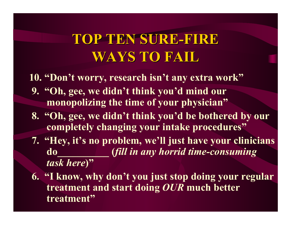# **TOP TEN SURE TOP TEN SURE -FIRE WAYS TO FAIL WAYS TO FAIL**

**10. "Don't w orry, research isn't any extra w ork"**

- **9. "Oh, gee, w e didn't think you'd mind our monopoliz ing the time of your physician"**
- **8. "Oh, gee, w e di dn't thi n k you'd b <sup>e</sup> bothered by our completely changing your intak e procedures"**
- **7. "Hey, it's no problem, w <sup>e</sup>'ll just have your clinicians do\_\_\_\_\_\_\_\_\_\_ (***fill in any horrid time-consuming task here***)"**
- **6. "I know, w hy don't you just stop doing your regular treatment and start doing** *OUR* **m uch b etter treatment "**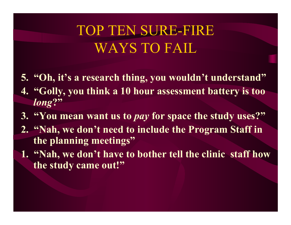# TOP TEN SURE-FIRE WAYS TO FAIL

- **5. "Oh, it's a research thing, you w ouldn't understand"**
- **4. "Golly, you think a 10 hour assessment battery is too**  *long***?"**
- **3. "You mean w ant us to** *pay* **for space the study uses?"**
- **2. "Nah, w e don't need to include the Program Staff in the planning meetings"**
- **1. "Nah, w e don't have to bother tell the clinic staff how the study came out!"**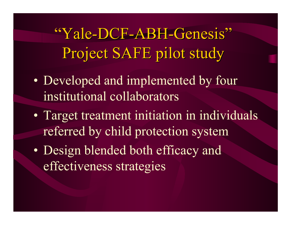"Yale-DCF-ABH-Genesis" Project SAFE pilot study

- •• Developed and implemented by four institutional collaborators
- $\bullet$  Target treatment initiation in individuals referred by child protection system
- $\bullet$ • Design blended both efficacy and effectiveness strategies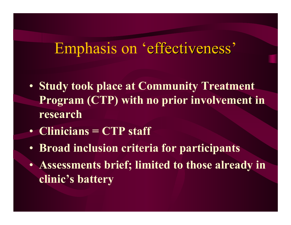# Emphasis on 'effectiveness'

- **Study took place at Community Treatment Program (CTP) with n o prior involvement in research**
- **Clinicians = CTP staff**
- **Broad inclusion criteria for partici pants**
- **Assessments brief; limited to those alread y in clinic's battery**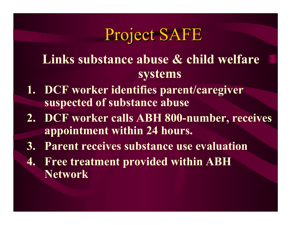# Project SAFE

- **Links substance abuse & child welfare systems**
- **1. DCF worker identifies parent/caregiver suspected of substance abuse**
- **2. DCF worker calls ABH 800-number, receives a ppointme nt within 24 hours.**
- **3. Parent receives substance use evaluation**
- **4. Free treatment p rovided within ABH Network**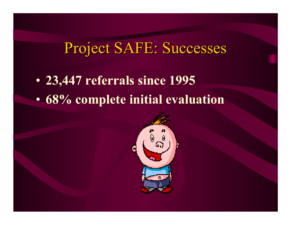# Project SAFE: Successes

- •**23,447 referrals since 1995**
- •**68% complete initial evaluation**

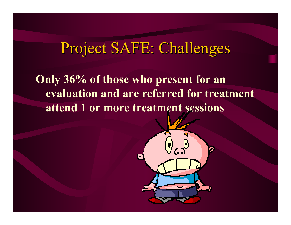# Project SAFE: Challenges

**Onl y 36% of those who present for an evaluation and are referred for treat ment attend 1 or m ore treatment sessions**

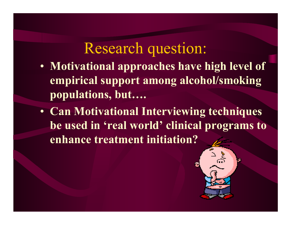## Research question:

- **Motivational app roaches have high level of empirical support among alcohol/smoking populations, but….**
- **Can Motivational Interviewing techniques be used i n 'real world ' cli nical programs t o enhance treatment initiation?**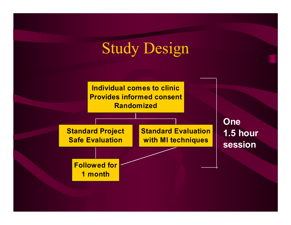# Study Design

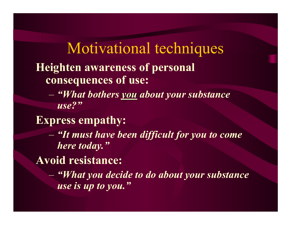### Motivational techniques **Hei ghten awareness of personal consequ ences of use:**

 *"What bothers you about your substance use?"*

#### **Express empathy:**

 *"It must have been difficult for you to come here today."*

#### **Avoid resistance:**

 *"What you decide to do about your substance use is up to you."*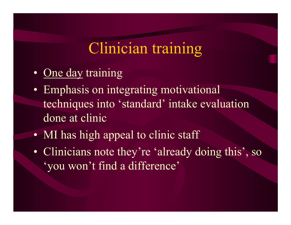# Clinician training

- •• One day training
- •• Emphasis on integrating motivational techniques int <sup>o</sup>'standard' intake evaluation done at clinic
- •• MI has high appeal to clinic staff
- •• Clinicians note they're 'already doing this', so 'you won't find a difference'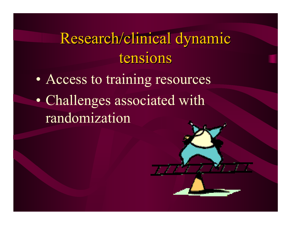# Research/clinical dynamic tensions

 $\bullet$  Access to training resources  $\bullet$ • Challenges associated with randomization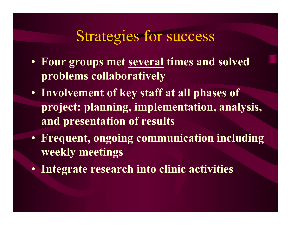# Strategies for success

- **Fou r groups met several times and solved problem s collaborati vel y**
- **Involvement of key s taff at all phases of project: plannin g, implementation, analysis, and presentation of result s**
- **Frequent, ongoing communication including weekl y meetings**
- **Integrate research int o cli nic activities**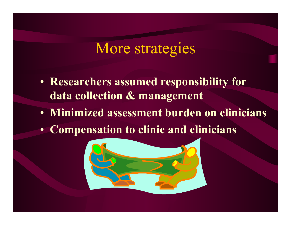#### More strategies

- **Researchers assumed responsibility for data collection & management**
- **Minimized assessment burden on clinicians**
- **Compensation to clinic and clinicians**

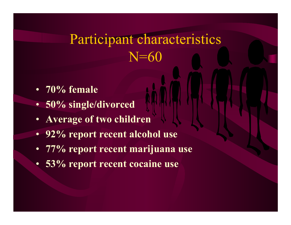# Participant characteristics N=60

- **70% female**
- 50% single/divorced
- **Average of two children**
- **92% report recent alcohol use**
- **77% report recent marijuana use**
- •**53% report recent cocaine use**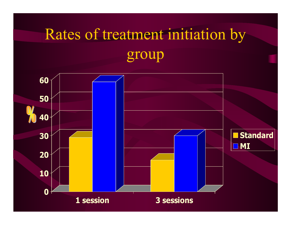# Rates of treatment initiation by group

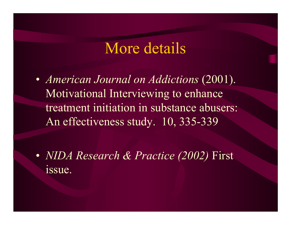#### More details

• *American Journal on Addictions* (2001). Motivational Interviewing to enhance treatment initiation in substance abusers: An effectiveness study. 10, 335-339

• *NIDA Research & Practice (2002)* First issue.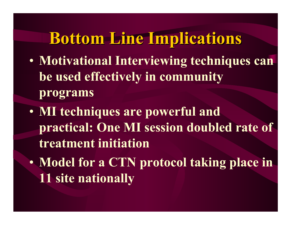# **Bottom Line Implications Bottom Line Implications**

- • **Motivational Interviewing techniques can be used effectively in community programs**
- • **MI techniques are powerful and practical: One MI session doubled rate of treatment initiation**
- $\bullet$  **Model for a CTN protocol taking place in 11 site nationally**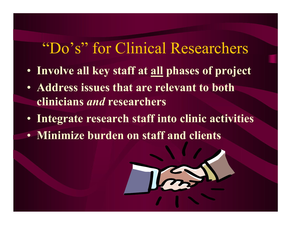# "Do's" for Clinical Researchers

- **Involve all key s t a ff at all phases of project**
- **Address issues that are relevant t o both clinicians** *an d* **researchers**
- **Integrate research staff into clinic activities**
- **Minimize burden on staff and clients**